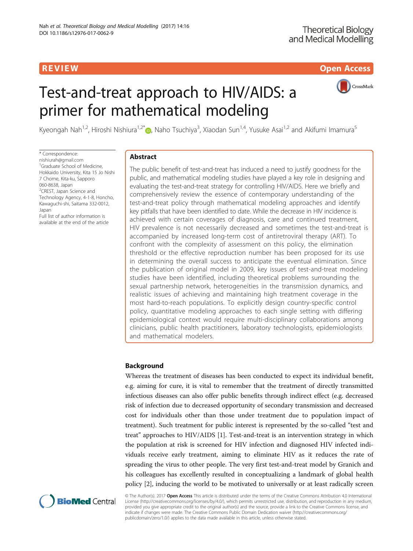## R EVI EW Open Access

# Test-and-treat approach to HIV/AIDS: a primer for mathematical modeling



Kyeongah Nah<sup>1,2</sup>, Hiroshi Nishiura<sup>1,2[\\*](http://orcid.org/0000-0003-0941-8537)</sup>®, Naho Tsuchiya<sup>3</sup>, Xiaodan Sun<sup>1,4</sup>, Yusuke Asai<sup>1,2</sup> and Akifumi Imamura<sup>5</sup>

\* Correspondence: [nishiurah@gmail.com](mailto:nishiurah@gmail.com) <sup>1</sup>Graduate School of Medicine, Hokkaido University, Kita 15 Jo Nishi 7 Chome, Kita-ku, Sapporo 060-8638, Japan <sup>2</sup>CREST, Japan Science and Technology Agency, 4-1-8, Honcho, Kawaguchi-shi, Saitama 332-0012, Japan Full list of author information is available at the end of the article

## Abstract

The public benefit of test-and-treat has induced a need to justify goodness for the public, and mathematical modeling studies have played a key role in designing and evaluating the test-and-treat strategy for controlling HIV/AIDS. Here we briefly and comprehensively review the essence of contemporary understanding of the test-and-treat policy through mathematical modeling approaches and identify key pitfalls that have been identified to date. While the decrease in HIV incidence is achieved with certain coverages of diagnosis, care and continued treatment, HIV prevalence is not necessarily decreased and sometimes the test-and-treat is accompanied by increased long-term cost of antiretroviral therapy (ART). To confront with the complexity of assessment on this policy, the elimination threshold or the effective reproduction number has been proposed for its use in determining the overall success to anticipate the eventual elimination. Since the publication of original model in 2009, key issues of test-and-treat modeling studies have been identified, including theoretical problems surrounding the sexual partnership network, heterogeneities in the transmission dynamics, and realistic issues of achieving and maintaining high treatment coverage in the most hard-to-reach populations. To explicitly design country-specific control policy, quantitative modeling approaches to each single setting with differing epidemiological context would require multi-disciplinary collaborations among clinicians, public health practitioners, laboratory technologists, epidemiologists and mathematical modelers.

## Background

Whereas the treatment of diseases has been conducted to expect its individual benefit, e.g. aiming for cure, it is vital to remember that the treatment of directly transmitted infectious diseases can also offer public benefits through indirect effect (e.g. decreased risk of infection due to decreased opportunity of secondary transmission and decreased cost for individuals other than those under treatment due to population impact of treatment). Such treatment for public interest is represented by the so-called "test and treat" approaches to HIV/AIDS [[1\]](#page-9-0). Test-and-treat is an intervention strategy in which the population at risk is screened for HIV infection and diagnosed HIV infected individuals receive early treatment, aiming to eliminate HIV as it reduces the rate of spreading the virus to other people. The very first test-and-treat model by Granich and his colleagues has excellently resulted in conceptualizing a landmark of global health policy [\[2](#page-9-0)], inducing the world to be motivated to universally or at least radically screen



© The Author(s). 2017 Open Access This article is distributed under the terms of the Creative Commons Attribution 4.0 International License ([http://creativecommons.org/licenses/by/4.0/\)](http://creativecommons.org/licenses/by/4.0/), which permits unrestricted use, distribution, and reproduction in any medium, provided you give appropriate credit to the original author(s) and the source, provide a link to the Creative Commons license, and indicate if changes were made. The Creative Commons Public Domain Dedication waiver ([http://creativecommons.org/](http://creativecommons.org/publicdomain/zero/1.0/) [publicdomain/zero/1.0/\)](http://creativecommons.org/publicdomain/zero/1.0/) applies to the data made available in this article, unless otherwise stated.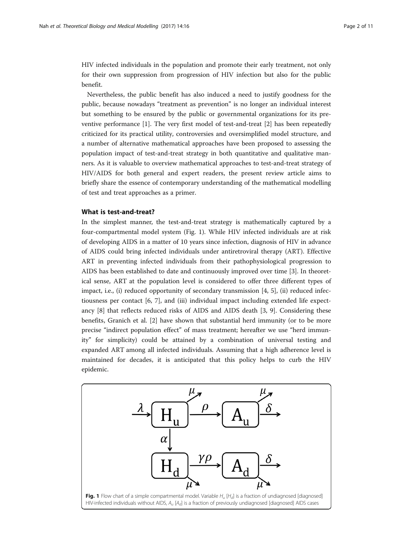<span id="page-1-0"></span>HIV infected individuals in the population and promote their early treatment, not only for their own suppression from progression of HIV infection but also for the public benefit.

Nevertheless, the public benefit has also induced a need to justify goodness for the public, because nowadays "treatment as prevention" is no longer an individual interest but something to be ensured by the public or governmental organizations for its preventive performance [\[1](#page-9-0)]. The very first model of test-and-treat [\[2](#page-9-0)] has been repeatedly criticized for its practical utility, controversies and oversimplified model structure, and a number of alternative mathematical approaches have been proposed to assessing the population impact of test-and-treat strategy in both quantitative and qualitative manners. As it is valuable to overview mathematical approaches to test-and-treat strategy of HIV/AIDS for both general and expert readers, the present review article aims to briefly share the essence of contemporary understanding of the mathematical modelling of test and treat approaches as a primer.

## What is test-and-treat?

In the simplest manner, the test-and-treat strategy is mathematically captured by a four-compartmental model system (Fig. 1). While HIV infected individuals are at risk of developing AIDS in a matter of 10 years since infection, diagnosis of HIV in advance of AIDS could bring infected individuals under antiretroviral therapy (ART). Effective ART in preventing infected individuals from their pathophysiological progression to AIDS has been established to date and continuously improved over time [\[3](#page-9-0)]. In theoretical sense, ART at the population level is considered to offer three different types of impact, i.e., (i) reduced opportunity of secondary transmission  $[4, 5]$  $[4, 5]$  $[4, 5]$  $[4, 5]$ , (ii) reduced infectiousness per contact [[6](#page-9-0), [7](#page-9-0)], and (iii) individual impact including extended life expectancy [\[8](#page-9-0)] that reflects reduced risks of AIDS and AIDS death [[3, 9](#page-9-0)]. Considering these benefits, Granich et al. [\[2\]](#page-9-0) have shown that substantial herd immunity (or to be more precise "indirect population effect" of mass treatment; hereafter we use "herd immunity" for simplicity) could be attained by a combination of universal testing and expanded ART among all infected individuals. Assuming that a high adherence level is maintained for decades, it is anticipated that this policy helps to curb the HIV epidemic.

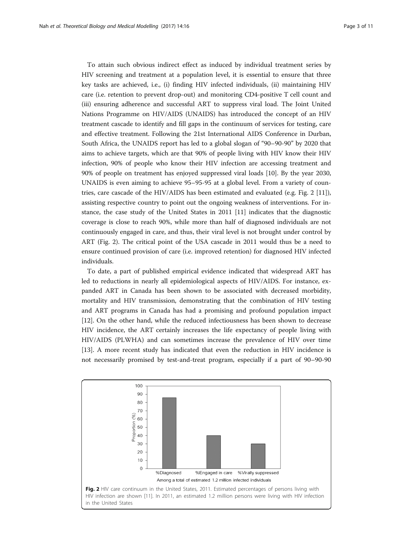To attain such obvious indirect effect as induced by individual treatment series by HIV screening and treatment at a population level, it is essential to ensure that three key tasks are achieved, i.e., (i) finding HIV infected individuals, (ii) maintaining HIV care (i.e. retention to prevent drop-out) and monitoring CD4-positive T cell count and (iii) ensuring adherence and successful ART to suppress viral load. The Joint United Nations Programme on HIV/AIDS (UNAIDS) has introduced the concept of an HIV treatment cascade to identify and fill gaps in the continuum of services for testing, care and effective treatment. Following the 21st International AIDS Conference in Durban, South Africa, the UNAIDS report has led to a global slogan of "90–90-90" by 2020 that aims to achieve targets, which are that 90% of people living with HIV know their HIV infection, 90% of people who know their HIV infection are accessing treatment and 90% of people on treatment has enjoyed suppressed viral loads [[10](#page-9-0)]. By the year 2030, UNAIDS is even aiming to achieve 95–95-95 at a global level. From a variety of countries, care cascade of the HIV/AIDS has been estimated and evaluated (e.g. Fig. 2 [\[11](#page-9-0)]), assisting respective country to point out the ongoing weakness of interventions. For instance, the case study of the United States in 2011 [\[11\]](#page-9-0) indicates that the diagnostic coverage is close to reach 90%, while more than half of diagnosed individuals are not continuously engaged in care, and thus, their viral level is not brought under control by ART (Fig. 2). The critical point of the USA cascade in 2011 would thus be a need to ensure continued provision of care (i.e. improved retention) for diagnosed HIV infected individuals.

To date, a part of published empirical evidence indicated that widespread ART has led to reductions in nearly all epidemiological aspects of HIV/AIDS. For instance, expanded ART in Canada has been shown to be associated with decreased morbidity, mortality and HIV transmission, demonstrating that the combination of HIV testing and ART programs in Canada has had a promising and profound population impact [[12\]](#page-9-0). On the other hand, while the reduced infectiousness has been shown to decrease HIV incidence, the ART certainly increases the life expectancy of people living with HIV/AIDS (PLWHA) and can sometimes increase the prevalence of HIV over time [[13\]](#page-9-0). A more recent study has indicated that even the reduction in HIV incidence is not necessarily promised by test-and-treat program, especially if a part of 90–90-90

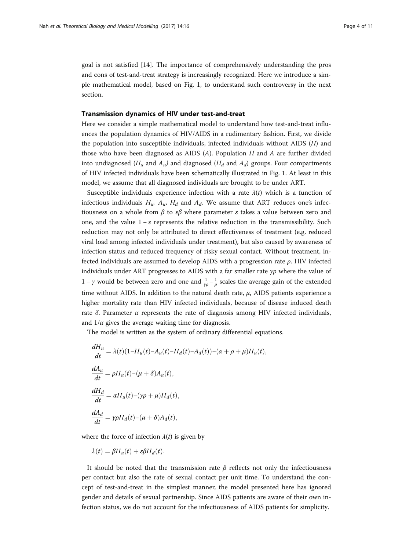goal is not satisfied [\[14](#page-9-0)]. The importance of comprehensively understanding the pros and cons of test-and-treat strategy is increasingly recognized. Here we introduce a simple mathematical model, based on Fig. [1,](#page-1-0) to understand such controversy in the next section.

## Transmission dynamics of HIV under test-and-treat

Here we consider a simple mathematical model to understand how test-and-treat influences the population dynamics of HIV/AIDS in a rudimentary fashion. First, we divide the population into susceptible individuals, infected individuals without AIDS  $(H)$  and those who have been diagnosed as AIDS  $(A)$ . Population H and A are further divided into undiagnosed ( $H_u$  and  $A_u$ ) and diagnosed ( $H_d$  and  $A_d$ ) groups. Four compartments of HIV infected individuals have been schematically illustrated in Fig. [1.](#page-1-0) At least in this model, we assume that all diagnosed individuals are brought to be under ART.

Susceptible individuals experience infection with a rate  $\lambda(t)$  which is a function of infectious individuals  $H_{\mu}$ ,  $A_{\mu}$ ,  $H_d$  and  $A_d$ . We assume that ART reduces one's infectiousness on a whole from  $\beta$  to  $\epsilon\beta$  where parameter  $\epsilon$  takes a value between zero and one, and the value  $1 - \varepsilon$  represents the relative reduction in the transmissibility. Such reduction may not only be attributed to direct effectiveness of treatment (e.g. reduced viral load among infected individuals under treatment), but also caused by awareness of infection status and reduced frequency of risky sexual contact. Without treatment, infected individuals are assumed to develop AIDS with a progression rate  $\rho$ . HIV infected individuals under ART progresses to AIDS with a far smaller rate  $\gamma \rho$  where the value of 1 − γ would be between zero and one and  $\frac{1}{\gamma\rho} - \frac{1}{\rho}$  scales the average gain of the extended time without AIDS. In addition to the natural death rate,  $\mu$ , AIDS patients experience a higher mortality rate than HIV infected individuals, because of disease induced death rate δ. Parameter  $α$  represents the rate of diagnosis among HIV infected individuals, and  $1/\alpha$  gives the average waiting time for diagnosis.

The model is written as the system of ordinary differential equations.

$$
\frac{dH_u}{dt} = \lambda(t)(1 - H_u(t) - A_u(t) - H_d(t) - A_d(t)) - (\alpha + \rho + \mu)H_u(t),
$$
  
\n
$$
\frac{dA_u}{dt} = \rho H_u(t) - (\mu + \delta)A_u(t),
$$
  
\n
$$
\frac{dH_d}{dt} = \alpha H_u(t) - (\gamma \rho + \mu)H_d(t),
$$
  
\n
$$
\frac{dA_d}{dt} = \gamma \rho H_d(t) - (\mu + \delta)A_d(t),
$$

where the force of infection  $\lambda(t)$  is given by

$$
\lambda(t) = \beta H_u(t) + \varepsilon \beta H_d(t).
$$

It should be noted that the transmission rate  $\beta$  reflects not only the infectiousness per contact but also the rate of sexual contact per unit time. To understand the concept of test-and-treat in the simplest manner, the model presented here has ignored gender and details of sexual partnership. Since AIDS patients are aware of their own infection status, we do not account for the infectiousness of AIDS patients for simplicity.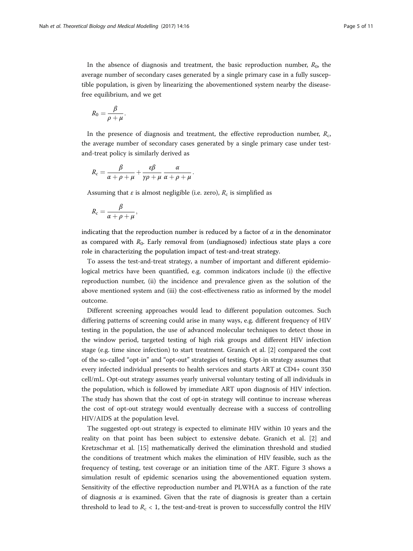In the absence of diagnosis and treatment, the basic reproduction number,  $R_0$ , the average number of secondary cases generated by a single primary case in a fully susceptible population, is given by linearizing the abovementioned system nearby the diseasefree equilibrium, and we get

$$
R_0=\frac{\beta}{\rho+\mu}.
$$

In the presence of diagnosis and treatment, the effective reproduction number,  $R_c$ , the average number of secondary cases generated by a single primary case under testand-treat policy is similarly derived as

$$
R_c = \frac{\beta}{\alpha + \rho + \mu} + \frac{\varepsilon \beta}{\gamma \rho + \mu} \frac{\alpha}{\alpha + \rho + \mu}.
$$

Assuming that  $\varepsilon$  is almost negligible (i.e. zero),  $R_c$  is simplified as

$$
R_c=\frac{\beta}{\alpha+\rho+\mu},
$$

indicating that the reproduction number is reduced by a factor of  $\alpha$  in the denominator as compared with  $R_0$ . Early removal from (undiagnosed) infectious state plays a core role in characterizing the population impact of test-and-treat strategy.

To assess the test-and-treat strategy, a number of important and different epidemiological metrics have been quantified, e.g. common indicators include (i) the effective reproduction number, (ii) the incidence and prevalence given as the solution of the above mentioned system and (iii) the cost-effectiveness ratio as informed by the model outcome.

Different screening approaches would lead to different population outcomes. Such differing patterns of screening could arise in many ways, e.g. different frequency of HIV testing in the population, the use of advanced molecular techniques to detect those in the window period, targeted testing of high risk groups and different HIV infection stage (e.g. time since infection) to start treatment. Granich et al. [[2\]](#page-9-0) compared the cost of the so-called "opt-in" and "opt-out" strategies of testing. Opt-in strategy assumes that every infected individual presents to health services and starts ART at CD4+ count 350 cell/mL. Opt-out strategy assumes yearly universal voluntary testing of all individuals in the population, which is followed by immediate ART upon diagnosis of HIV infection. The study has shown that the cost of opt-in strategy will continue to increase whereas the cost of opt-out strategy would eventually decrease with a success of controlling HIV/AIDS at the population level.

The suggested opt-out strategy is expected to eliminate HIV within 10 years and the reality on that point has been subject to extensive debate. Granich et al. [\[2](#page-9-0)] and Kretzschmar et al. [[15](#page-9-0)] mathematically derived the elimination threshold and studied the conditions of treatment which makes the elimination of HIV feasible, such as the frequency of testing, test coverage or an initiation time of the ART. Figure [3](#page-5-0) shows a simulation result of epidemic scenarios using the abovementioned equation system. Sensitivity of the effective reproduction number and PLWHA as a function of the rate of diagnosis  $\alpha$  is examined. Given that the rate of diagnosis is greater than a certain threshold to lead to  $R_c < 1$ , the test-and-treat is proven to successfully control the HIV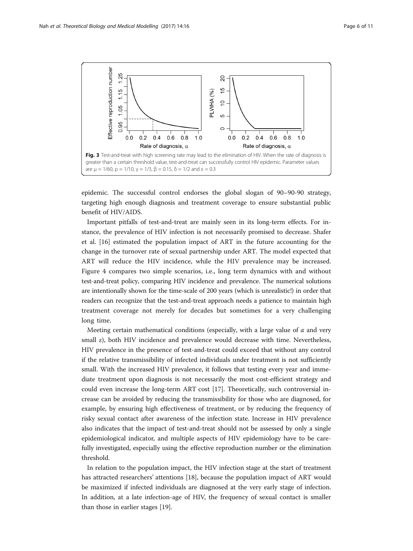<span id="page-5-0"></span>

epidemic. The successful control endorses the global slogan of 90–90-90 strategy, targeting high enough diagnosis and treatment coverage to ensure substantial public benefit of HIV/AIDS.

Important pitfalls of test-and-treat are mainly seen in its long-term effects. For instance, the prevalence of HIV infection is not necessarily promised to decrease. Shafer et al. [\[16\]](#page-9-0) estimated the population impact of ART in the future accounting for the change in the turnover rate of sexual partnership under ART. The model expected that ART will reduce the HIV incidence, while the HIV prevalence may be increased. Figure [4](#page-6-0) compares two simple scenarios, i.e., long term dynamics with and without test-and-treat policy, comparing HIV incidence and prevalence. The numerical solutions are intentionally shown for the time-scale of 200 years (which is unrealistic!) in order that readers can recognize that the test-and-treat approach needs a patience to maintain high treatment coverage not merely for decades but sometimes for a very challenging long time.

Meeting certain mathematical conditions (especially, with a large value of  $\alpha$  and very small  $\varepsilon$ ), both HIV incidence and prevalence would decrease with time. Nevertheless, HIV prevalence in the presence of test-and-treat could exceed that without any control if the relative transmissibility of infected individuals under treatment is not sufficiently small. With the increased HIV prevalence, it follows that testing every year and immediate treatment upon diagnosis is not necessarily the most cost-efficient strategy and could even increase the long-term ART cost [\[17](#page-9-0)]. Theoretically, such controversial increase can be avoided by reducing the transmissibility for those who are diagnosed, for example, by ensuring high effectiveness of treatment, or by reducing the frequency of risky sexual contact after awareness of the infection state. Increase in HIV prevalence also indicates that the impact of test-and-treat should not be assessed by only a single epidemiological indicator, and multiple aspects of HIV epidemiology have to be carefully investigated, especially using the effective reproduction number or the elimination threshold.

In relation to the population impact, the HIV infection stage at the start of treatment has attracted researchers' attentions [\[18\]](#page-9-0), because the population impact of ART would be maximized if infected individuals are diagnosed at the very early stage of infection. In addition, at a late infection-age of HIV, the frequency of sexual contact is smaller than those in earlier stages [\[19](#page-9-0)].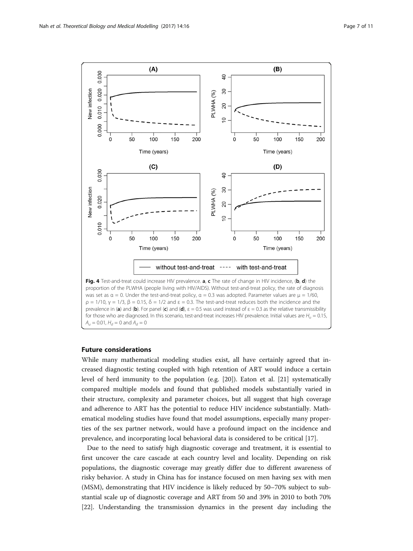<span id="page-6-0"></span>

### Future considerations

While many mathematical modeling studies exist, all have certainly agreed that increased diagnostic testing coupled with high retention of ART would induce a certain level of herd immunity to the population (e.g. [[20\]](#page-9-0)). Eaton et al. [[21\]](#page-9-0) systematically compared multiple models and found that published models substantially varied in their structure, complexity and parameter choices, but all suggest that high coverage and adherence to ART has the potential to reduce HIV incidence substantially. Mathematical modeling studies have found that model assumptions, especially many properties of the sex partner network, would have a profound impact on the incidence and prevalence, and incorporating local behavioral data is considered to be critical [\[17](#page-9-0)].

Due to the need to satisfy high diagnostic coverage and treatment, it is essential to first uncover the care cascade at each country level and locality. Depending on risk populations, the diagnostic coverage may greatly differ due to different awareness of risky behavior. A study in China has for instance focused on men having sex with men (MSM), demonstrating that HIV incidence is likely reduced by 50–70% subject to substantial scale up of diagnostic coverage and ART from 50 and 39% in 2010 to both 70% [[22\]](#page-9-0). Understanding the transmission dynamics in the present day including the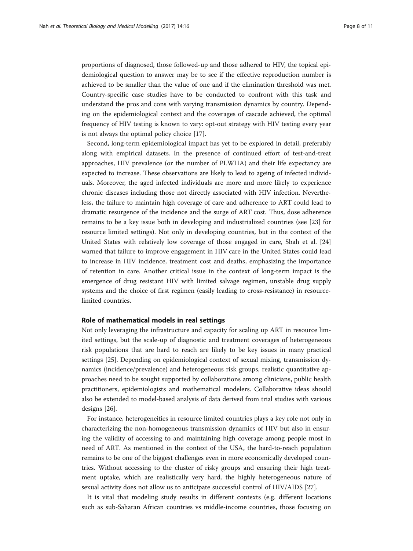proportions of diagnosed, those followed-up and those adhered to HIV, the topical epidemiological question to answer may be to see if the effective reproduction number is achieved to be smaller than the value of one and if the elimination threshold was met. Country-specific case studies have to be conducted to confront with this task and understand the pros and cons with varying transmission dynamics by country. Depending on the epidemiological context and the coverages of cascade achieved, the optimal frequency of HIV testing is known to vary: opt-out strategy with HIV testing every year is not always the optimal policy choice [\[17](#page-9-0)].

Second, long-term epidemiological impact has yet to be explored in detail, preferably along with empirical datasets. In the presence of continued effort of test-and-treat approaches, HIV prevalence (or the number of PLWHA) and their life expectancy are expected to increase. These observations are likely to lead to ageing of infected individuals. Moreover, the aged infected individuals are more and more likely to experience chronic diseases including those not directly associated with HIV infection. Nevertheless, the failure to maintain high coverage of care and adherence to ART could lead to dramatic resurgence of the incidence and the surge of ART cost. Thus, dose adherence remains to be a key issue both in developing and industrialized countries (see [\[23](#page-9-0)] for resource limited settings). Not only in developing countries, but in the context of the United States with relatively low coverage of those engaged in care, Shah et al. [[24](#page-9-0)] warned that failure to improve engagement in HIV care in the United States could lead to increase in HIV incidence, treatment cost and deaths, emphasizing the importance of retention in care. Another critical issue in the context of long-term impact is the emergence of drug resistant HIV with limited salvage regimen, unstable drug supply systems and the choice of first regimen (easily leading to cross-resistance) in resourcelimited countries.

## Role of mathematical models in real settings

Not only leveraging the infrastructure and capacity for scaling up ART in resource limited settings, but the scale-up of diagnostic and treatment coverages of heterogeneous risk populations that are hard to reach are likely to be key issues in many practical settings [\[25\]](#page-10-0). Depending on epidemiological context of sexual mixing, transmission dynamics (incidence/prevalence) and heterogeneous risk groups, realistic quantitative approaches need to be sought supported by collaborations among clinicians, public health practitioners, epidemiologists and mathematical modelers. Collaborative ideas should also be extended to model-based analysis of data derived from trial studies with various designs [[26](#page-10-0)].

For instance, heterogeneities in resource limited countries plays a key role not only in characterizing the non-homogeneous transmission dynamics of HIV but also in ensuring the validity of accessing to and maintaining high coverage among people most in need of ART. As mentioned in the context of the USA, the hard-to-reach population remains to be one of the biggest challenges even in more economically developed countries. Without accessing to the cluster of risky groups and ensuring their high treatment uptake, which are realistically very hard, the highly heterogeneous nature of sexual activity does not allow us to anticipate successful control of HIV/AIDS [[27\]](#page-10-0).

It is vital that modeling study results in different contexts (e.g. different locations such as sub-Saharan African countries vs middle-income countries, those focusing on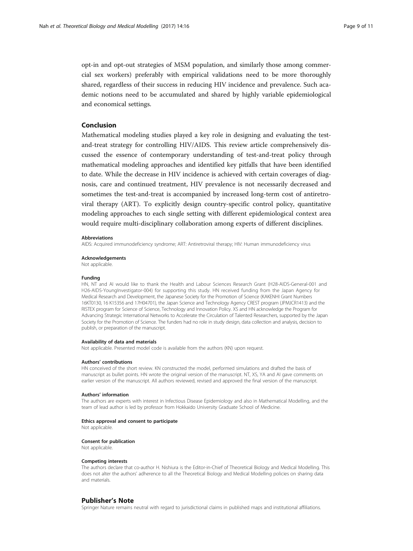opt-in and opt-out strategies of MSM population, and similarly those among commercial sex workers) preferably with empirical validations need to be more thoroughly shared, regardless of their success in reducing HIV incidence and prevalence. Such academic notions need to be accumulated and shared by highly variable epidemiological and economical settings.

## Conclusion

Mathematical modeling studies played a key role in designing and evaluating the testand-treat strategy for controlling HIV/AIDS. This review article comprehensively discussed the essence of contemporary understanding of test-and-treat policy through mathematical modeling approaches and identified key pitfalls that have been identified to date. While the decrease in HIV incidence is achieved with certain coverages of diagnosis, care and continued treatment, HIV prevalence is not necessarily decreased and sometimes the test-and-treat is accompanied by increased long-term cost of antiretroviral therapy (ART). To explicitly design country-specific control policy, quantitative modeling approaches to each single setting with different epidemiological context area would require multi-disciplinary collaboration among experts of different disciplines.

#### Abbreviations

AIDS: Acquired immunodeficiency syndrome; ART: Antiretroviral therapy; HIV: Human immunodeficiency virus

#### Acknowledgements

Not applicable.

#### Funding

HN, NT and AI would like to thank the Health and Labour Sciences Research Grant (H28-AIDS-General-001 and H26-AIDS-YoungInvestigator-004) for supporting this study. HN received funding from the Japan Agency for Medical Research and Development, the Japanese Society for the Promotion of Science (KAKENHI Grant Numbers 16KT0130, 16 K15356 and 17H04701), the Japan Science and Technology Agency CREST program (JPMJCR1413) and the RISTEX program for Science of Science, Technology and Innovation Policy. XS and HN acknowledge the Program for Advancing Strategic International Networks to Accelerate the Circulation of Talented Researchers, supported by the Japan Society for the Promotion of Science. The funders had no role in study design, data collection and analysis, decision to publish, or preparation of the manuscript.

#### Availability of data and materials

Not applicable. Presented model code is available from the authors (KN) upon request.

#### Authors' contributions

HN conceived of the short review. KN constructed the model, performed simulations and drafted the basis of manuscript as bullet points. HN wrote the original version of the manuscript. NT, XS, YA and AI gave comments on earlier version of the manuscript. All authors reviewed, revised and approved the final version of the manuscript.

#### Authors' information

The authors are experts with interest in Infectious Disease Epidemiology and also in Mathematical Modelling, and the team of lead author is led by professor from Hokkaido University Graduate School of Medicine.

#### Ethics approval and consent to participate

Not applicable.

#### Consent for publication

Not applicable.

#### Competing interests

The authors declare that co-author H. Nishiura is the Editor-in-Chief of Theoretical Biology and Medical Modelling. This does not alter the authors' adherence to all the Theoretical Biology and Medical Modelling policies on sharing data and materials.

### Publisher's Note

Springer Nature remains neutral with regard to jurisdictional claims in published maps and institutional affiliations.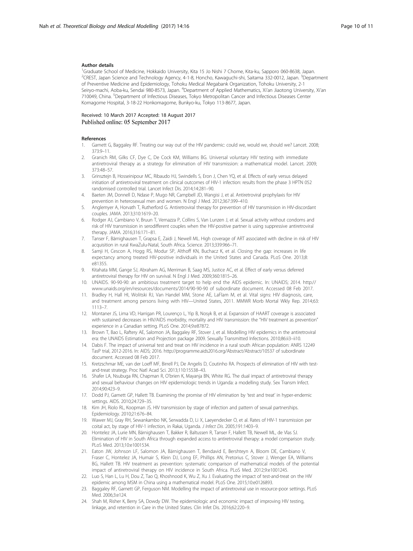#### <span id="page-9-0"></span>Author details

<sup>1</sup>Graduate School of Medicine, Hokkaido University, Kita 15 Jo Nishi 7 Chome, Kita-ku, Sapporo 060-8638, Japan. <sup>2</sup>CREST, Japan Science and Technology Agency, 4-1-8, Honcho, Kawaguchi-shi, Saitama 332-0012, Japan. <sup>3</sup>Department of Preventive Medicine and Epidemiology, Tohoku Medical Megabank Organization, Tohoku University, 2-1 Seiryo-machi, Aoba-ku, Sendai 980-8573, Japan. <sup>4</sup>Department of Applied Mathematics, Xi'an Jiaotong University, Xi'an 710049, China. <sup>5</sup>Department of Infectious Diseases, Tokyo Metropolitan Cancer and Infectious Diseases Center Komagome Hospital, 3-18-22 Honkomagome, Bunkyo-ku, Tokyo 113-8677, Japan.

#### Received: 10 March 2017 Accepted: 18 August 2017 Published online: 05 September 2017

#### References

- Garnett G, Baggaley RF. Treating our way out of the HIV pandemic: could we, would we, should we? Lancet. 2008; 373:9–11.
- 2. Granich RM, Gilks CF, Dye C, De Cock KM, Williams BG. Universal voluntary HIV testing with immediate antiretroviral therapy as a strategy for elimination of HIV transmission: a mathematical model. Lancet. 2009; 373:48–57.
- Grinsztejn B, Hosseinipour MC, Ribaudo HJ, Swindells S, Eron J, Chen YQ, et al. Effects of early versus delayed initiation of antiretroviral treatment on clinical outcomes of HIV-1 infection: results from the phase 3 HPTN 052 randomised controlled trial. Lancet Infect Dis. 2014;14:281–90.
- 4. Baeten JM, Donnell D, Ndase P, Mugo NR, Campbell JD, Wangisi J, et al. Antiretroviral prophylaxis for HIV prevention in heterosexual men and women. N Engl J Med. 2012;367:399–410.
- 5. Anglemyer A, Horvath T, Rutherford G. Antiretroviral therapy for prevention of HIV transmission in HIV-discordant couples. JAMA. 2013;310:1619–20.
- 6. Rodger AJ, Cambiano V, Bruun T, Vernazza P, Collins S, Van Lunzen J, et al. Sexual activity without condoms and risk of HIV transmission in serodifferent couples when the HIV-positive partner is using suppressive antiretroviral therapy. JAMA. 2016;316:171–81.
- 7. Tanser F, Bärnighausen T, Grapsa E, Zaidi J, Newell ML. High coverage of ART associated with decline in risk of HIV acquisition in rural KwaZulu-Natal, South Africa. Science. 2013;339:966–71.
- 8. Samji H, Cescon A, Hogg RS, Modur SP, Althoff KN, Buchacz K, et al. Closing the gap: increases in life expectancy among treated HIV-positive individuals in the United States and Canada. PLoS One. 2013;8: e81355.
- 9. Kitahata MM, Gange SJ, Abraham AG, Merriman B, Saag MS, Justice AC, et al. Effect of early versus deferred antiretroviral therapy for HIV on survival. N Engl J Med. 2009;360:1815–26.
- 10. UNAIDS. 90-90-90: an ambitious treatment target to help end the AIDS epidemic. In: UNAIDS; 2014. [http://](http://www.unaids.org/en/resources/documents/2014/90-90-90) [www.unaids.org/en/resources/documents/2014/90-90-90](http://www.unaids.org/en/resources/documents/2014/90-90-90) of subordinate document. Accessed 08 Feb 2017.
- 11. Bradley H, Hall HI, Wolitski RJ, Van Handel MM, Stone AE, LaFlam M, et al. Vital signs: HIV diagnosis, care, and treatment among persons living with HIV—United States, 2011. MMWR Morb Mortal Wkly Rep. 2014;63: 1113–7.
- 12. Montaner JS, Lima VD, Harrigan PR, Lourenço L, Yip B, Nosyk B, et al. Expansion of HAART coverage is associated with sustained decreases in HIV/AIDS morbidity, mortality and HIV transmission: the "HIV treatment as prevention" experience in a Canadian setting. PLoS One. 2014;9:e87872.
- 13. Brown T, Bao L, Raftery AE, Salomon JA, Baggaley RF, Stover J, et al. Modelling HIV epidemics in the antiretroviral era: the UNAIDS Estimation and Projection package 2009. Sexually Transmitted Infections. 2010;86:ii3–ii10.
- 14. Dabis F. The impact of universal test and treat on HIV incidence in a rural south African population: ANRS 12249 TasP trial, 2012-2016. In: AIDS; 2016.<http://programme.aids2016.org/Abstract/Abstract/10537> of subordinate document. Accessed 08 Feb 2017.
- 15. Kretzschmar ME, van der Loeff MF, Birrell PJ, De Angelis D, Coutinho RA. Prospects of elimination of HIV with testand-treat strategy. Proc Natl Acad Sci. 2013;110:15538–43.
- 16. Shafer LA, Nsubuga RN, Chapman R, O'brien K, Mayanja BN, White RG. The dual impact of antiretroviral therapy and sexual behaviour changes on HIV epidemiologic trends in Uganda: a modelling study. Sex Transm Infect. 2014;90:423–9.
- 17. Dodd PJ, Garnett GP, Hallett TB. Examining the promise of HIV elimination by 'test and treat' in hyper-endemic settings. AIDS. 2010;24:729–35.
- 18. Kim JH, Riolo RL, Koopman JS. HIV transmission by stage of infection and pattern of sexual partnerships. Epidemiology. 2010;21:676–84.
- 19. Wawer MJ, Gray RH, Sewankambo NK, Serwadda D, Li X, Laeyendecker O, et al. Rates of HIV-1 transmission per coital act, by stage of HIV-1 infection, in Rakai, Uganda. J Infect Dis. 2005;191:1403–9.
- 20. Hontelez JA, Lurie MN, Bärnighausen T, Bakker R, Baltussen R, Tanser F, Hallett TB, Newell ML, de Vlas SJ. Elimination of HIV in South Africa through expanded access to antiretroviral therapy: a model comparison study. PLoS Med. 2013;10:e1001534.
- 21. Eaton JW, Johnson LF, Salomon JA, Bärnighausen T, Bendavid E, Bershteyn A, Bloom DE, Cambiano V, Fraser C, Hontelez JA, Humair S, Klein DJ, Long EF, Phillips AN, Pretorius C, Stover J, Wenger EA, Williams BG, Hallett TB. HIV treatment as prevention: systematic comparison of mathematical models of the potential impact of antiretroviral therapy on HIV incidence in South Africa. PLoS Med. 2012;9:e1001245.
- 22. Luo S, Han L, Lu H, Dou Z, Tao Q, Khoshnood K, Wu Z, Xu J. Evaluating the impact of test-and-treat on the HIV epidemic among MSM in China using a mathematical model. PLoS One. 2015;10:e0126893.
- 23. Baggaley RF, Garnett GP, Ferguson NM. Modelling the impact of antiretroviral use in resource-poor settings. PLoS Med. 2006;3:e124.
- 24. Shah M, Risher K, Berry SA, Dowdy DW. The epidemiologic and economic impact of improving HIV testing, linkage, and retention in Care in the United States. Clin Infet Dis. 2016;62:220–9.